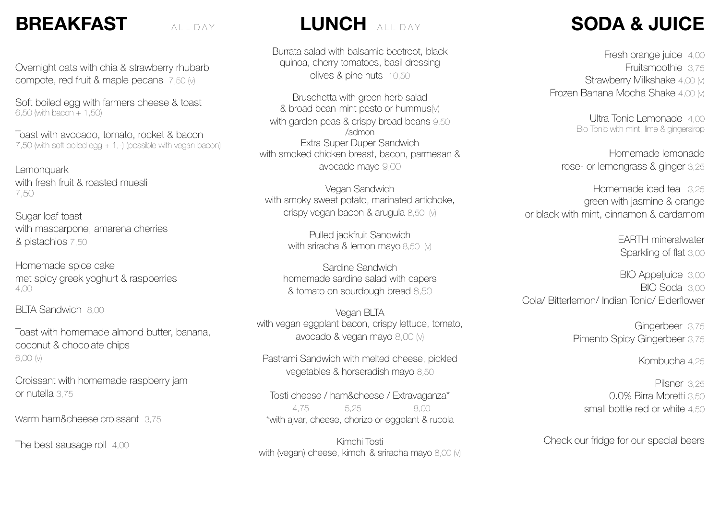#### **BREAKFAST** ALL DAY

Overnight oats with chia & strawberry rhubarb compote, red fruit & maple pecans 7,50 (v)

Soft boiled egg with farmers cheese & toast 6,50 (with bacon + 1,50)

Toast with avocado, tomato, rocket & bacon 7,50 (with soft boiled egg + 1,-) (possible with vegan bacon)

Lemonquark with fresh fruit & roasted muesli 7,50

Sugar loaf toast with mascarpone, amarena cherries & pistachios 7,50

Homemade spice cake met spicy greek yoghurt & raspberries 4,00

BLTA Sandwich 8,00

Toast with homemade almond butter, banana, coconut & chocolate chips 6,00 (v)

Croissant with homemade raspberry jam or nutella 3,75

Warm ham&cheese croissant 3,75

The best sausage roll 4,00

#### LUNCH **ALL DAY**

Burrata salad with balsamic beetroot, black quinoa, cherry tomatoes, basil dressing olives & pine nuts 10,50

Bruschetta with green herb salad & broad bean-mint pesto or hummus(v) with garden peas & crispy broad beans 9,50 /admon Extra Super Duper Sandwich with smoked chicken breast, bacon, parmesan & avocado mayo 9,00

Vegan Sandwich with smoky sweet potato, marinated artichoke, crispy vegan bacon & arugula 8,50 (v)

> Pulled jackfruit Sandwich with sriracha & lemon mayo 8,50 (v)

Sardine Sandwich homemade sardine salad with capers & tomato on sourdough bread 8,50

Vegan BLTA with vegan eggplant bacon, crispy lettuce, tomato, avocado & vegan mayo 8,00 (v)

Pastrami Sandwich with melted cheese, pickled vegetables & horseradish mayo 8,50

Tosti cheese / ham&cheese / Extravaganza\* 4,75 5,25 8,00 \*with ajvar, cheese, chorizo or eggplant & rucola

Kimchi Tosti with (vegan) cheese, kimchi & sriracha mayo 8,00 (v)

## **SODA & JUICE**

Fresh orange juice 4,00 Fruitsmoothie 3,75 Strawberry Milkshake 4,00 (v) Frozen Banana Mocha Shake 4,00 (v)

> Ultra Tonic Lemonade 4,00 Bio Tonic with mint, lime & gingersirop

Homemade lemonade rose- or lemongrass & ginger 3,25

Homemade iced tea 325 green with jasmine & orange or black with mint, cinnamon & cardamom

> EARTH mineralwater Sparkling of flat 3,00

BIO Appeljuice 3,00 BIO Soda 3,00 Cola/ Bitterlemon/ Indian Tonic/ Elderflower

> Gingerbeer 3,75 Pimento Spicy Gingerbeer 3,75

> > Kombucha 4,25

Pilsner 3,25 0.0% Birra Moretti 3,50 small bottle red or white 4,50

Check our fridge for our special beers